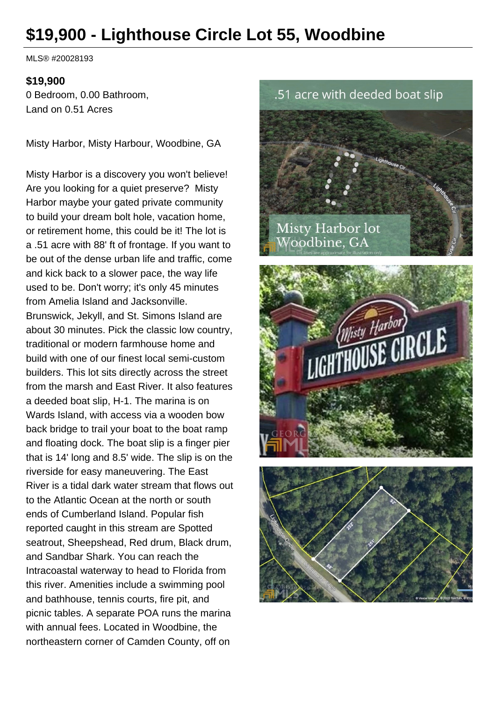# **\$19,900 - Lighthouse Circle Lot 55, Woodbine**

MLS® #20028193

#### **\$19,900**

0 Bedroom, 0.00 Bathroom, Land on 0.51 Acres

Misty Harbor, Misty Harbour, Woodbine, GA

Misty Harbor is a discovery you won't believe! Are you looking for a quiet preserve? Misty Harbor maybe your gated private community to build your dream bolt hole, vacation home, or retirement home, this could be it! The lot is a .51 acre with 88' ft of frontage. If you want to be out of the dense urban life and traffic, come and kick back to a slower pace, the way life used to be. Don't worry; it's only 45 minutes from Amelia Island and Jacksonville. Brunswick, Jekyll, and St. Simons Island are about 30 minutes. Pick the classic low country, traditional or modern farmhouse home and build with one of our finest local semi-custom builders. This lot sits directly across the street from the marsh and East River. It also features a deeded boat slip, H-1. The marina is on Wards Island, with access via a wooden bow back bridge to trail your boat to the boat ramp and floating dock. The boat slip is a finger pier that is 14' long and 8.5' wide. The slip is on the riverside for easy maneuvering. The East River is a tidal dark water stream that flows out to the Atlantic Ocean at the north or south ends of Cumberland Island. Popular fish reported caught in this stream are Spotted seatrout, Sheepshead, Red drum, Black drum, and Sandbar Shark. You can reach the Intracoastal waterway to head to Florida from this river. Amenities include a swimming pool and bathhouse, tennis courts, fire pit, and picnic tables. A separate POA runs the marina with annual fees. Located in Woodbine, the northeastern corner of Camden County, off on

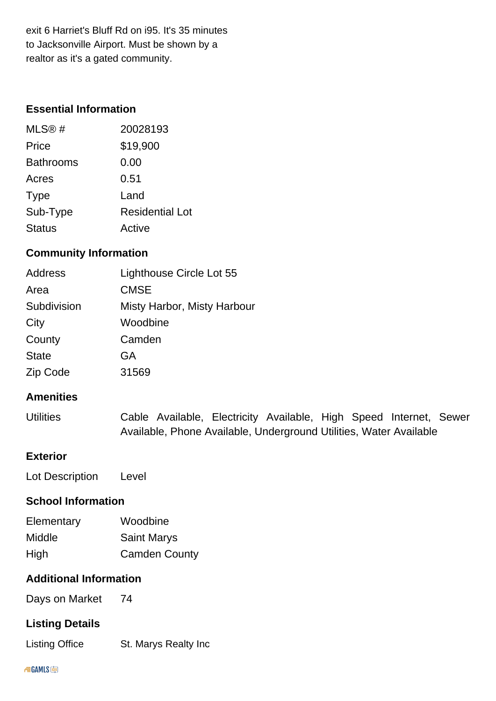exit 6 Harriet's Bluff Rd on i95. It's 35 minutes to Jacksonville Airport. Must be shown by a realtor as it's a gated community.

## **Essential Information**

| MLS@#            | 20028193               |
|------------------|------------------------|
| Price            | \$19,900               |
| <b>Bathrooms</b> | 0.00                   |
| Acres            | 0.51                   |
| <b>Type</b>      | Land                   |
| Sub-Type         | <b>Residential Lot</b> |
| <b>Status</b>    | Active                 |

## **Community Information**

| Address         | Lighthouse Circle Lot 55    |
|-----------------|-----------------------------|
| Area            | <b>CMSE</b>                 |
| Subdivision     | Misty Harbor, Misty Harbour |
| City            | Woodbine                    |
| County          | Camden                      |
| <b>State</b>    | GA                          |
| <b>Zip Code</b> | 31569                       |

### **Amenities**

| <b>Utilities</b> |  | Cable Available, Electricity Available, High Speed Internet, Sewer |  |  |  |
|------------------|--|--------------------------------------------------------------------|--|--|--|
|                  |  | Available, Phone Available, Underground Utilities, Water Available |  |  |  |

## **Exterior**

| Lot Description | Level |
|-----------------|-------|
|-----------------|-------|

## **School Information**

| Elementary | Woodbine             |
|------------|----------------------|
| Middle     | <b>Saint Marys</b>   |
| High       | <b>Camden County</b> |

### **Additional Information**

Days on Market 74

### **Listing Details**

Listing Office St. Marys Realty Inc